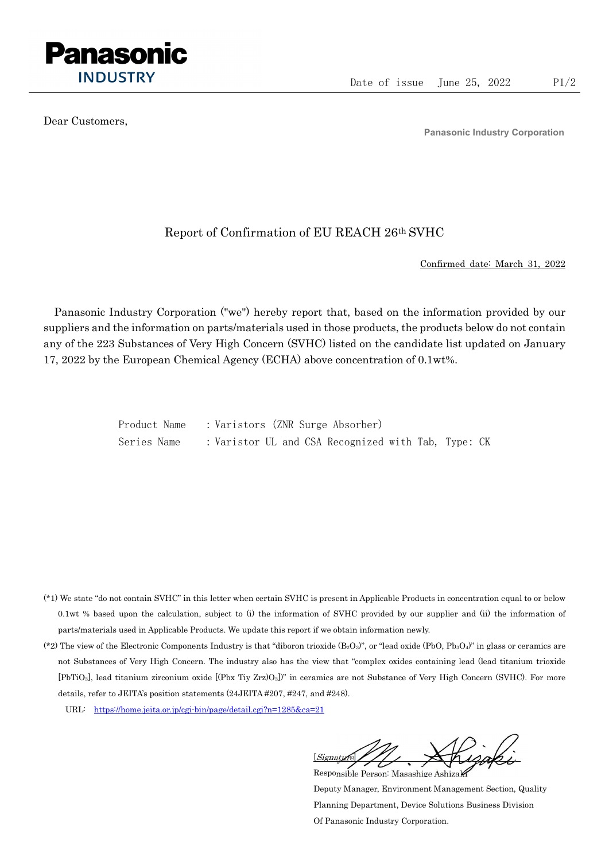

Dear Customers,

Panasonic Industry Corporation

## Report of Confirmation of EU REACH 26th SVHC

Confirmed date: March 31, 2022

Panasonic Industry Corporation ("we") hereby report that, based on the information provided by our suppliers and the information on parts/materials used in those products, the products below do not contain any of the 223 Substances of Very High Concern (SVHC) listed on the candidate list updated on January 17, 2022 by the European Chemical Agency (ECHA) above concentration of 0.1wt%.

> Product Name : Varistors (ZNR Surge Absorber) Series Name : Varistor UL and CSA Recognized with Tab, Type: CK

- (\*1) We state "do not contain SVHC" in this letter when certain SVHC is present in Applicable Products in concentration equal to or below 0.1wt % based upon the calculation, subject to (i) the information of SVHC provided by our supplier and (ii) the information of parts/materials used in Applicable Products. We update this report if we obtain information newly.
- (\*2) The view of the Electronic Components Industry is that "diboron trioxide  $(B_2O_3)$ ", or "lead oxide (PbO, Pb<sub>3</sub>O<sub>4</sub>)" in glass or ceramics are not Substances of Very High Concern. The industry also has the view that "complex oxides containing lead (lead titanium trioxide [PbTiO3], lead titanium zirconium oxide [(Pbx Tiy Zrz)O3])" in ceramics are not Substance of Very High Concern (SVHC). For more details, refer to JEITA's position statements (24JEITA #207, #247, and #248).
	- URL: https://home.jeita.or.jp/cgi-bin/page/detail.cgi?n=1285&ca=21

[Signature] Responsible Person: Masashige Ashizaki

Deputy Manager, Environment Management Section, Quality Planning Department, Device Solutions Business Division Of Panasonic Industry Corporation.